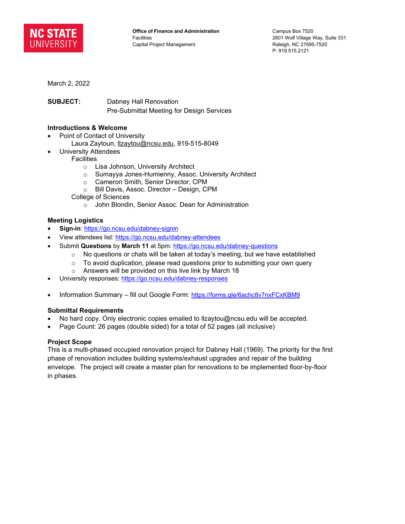

March 2, 2022

**SUBJECT:** Dabney Hall Renovation Pre-Submittal Meeting for Design Services

## **Introductions & Welcome**

- Point of Contact of University
	- Laura Zaytoun, Izaytou@ncsu.edu, 919-515-8049
	- University Attendees
- **Facilities** 
	- o Lisa Johnson, University Architect
	- o Sumayya Jones-Humienny, Assoc. University Architect
	- o Cameron Smith, Senior Director, CPM
	- o Bill Davis, Assoc. Director Design, CPM
	- College of Sciences
		- o John Blondin, Senior Assoc. Dean for Administration

### **Meeting Logistics**

- **Sign-in**:<https://go.ncsu.edu/dabney-signin>
- View attendees list:<https://go.ncsu.edu/dabney-attendees>
	- Submit **Questions** by **March 11** at 5pm:<https://go.ncsu.edu/dabney-questions>
		- o No questions or chats will be taken at today's meeting, but we have established
		- $\circ$  To avoid duplication, please read questions prior to submitting your own query
		- o Answers will be provided on this live link by March 18
- University responses:<https://go.ncsu.edu/dabney-responses>
- Information Summary fill out Google Form:<https://forms.gle/6achc8v7nxFCxKBM9>

### **Submittal Requirements**

- No hard copy. Only electronic copies emailed to llzaytou@ncsu.edu will be accepted.
- Page Count: 26 pages (double sided) for a total of 52 pages (all inclusive)

### **Project Scope**

This is a multi-phased occupied renovation project for Dabney Hall (1969). The priority for the first phase of renovation includes building systems/exhaust upgrades and repair of the building envelope. The project will create a master plan for renovations to be implemented floor-by-floor in phases.